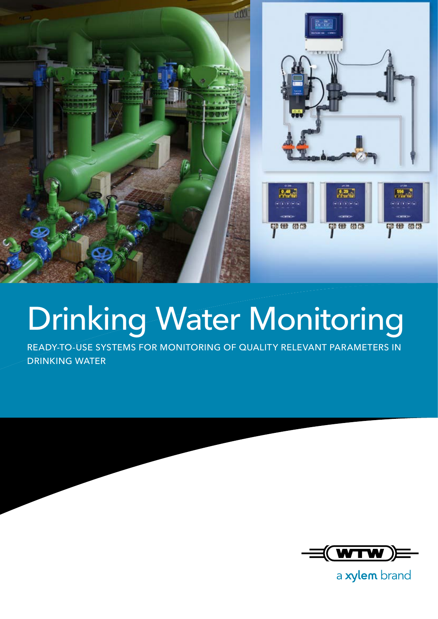

## Drinking Water Monitoring

READY-TO-USE SYSTEMS FOR MONITORING OF QUALITY RELEVANT PARAMETERS IN DRINKING WATER



a xylem brand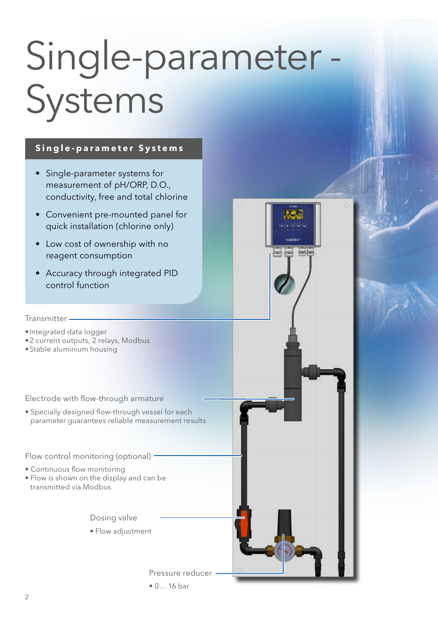# Single-parameter - Systems

'n

#### **Single-parameter Systems**

- Single-parameter systems for measurement of pH/ORP, D.O., conductivity, free and total chlorine
- Convenient pre-mounted panel for quick installation (chlorine only)
- Low cost of ownership with no reagent consumption
- Accuracy through integrated PID control function

#### Transmitter

• Integrated data logger

- 2 current outputs, 2 relays, Modbus
- Stable aluminium housing

Electrode with flow-through armature

• Specially designed flow-through vessel for each parameter guarantees reliable measurement results

Flow control monitoring (optional) -

- Continuous flow monitoring
- Flow is shown on the display and can be transmitted via Modbus

Dosing valve

• Flow adjustment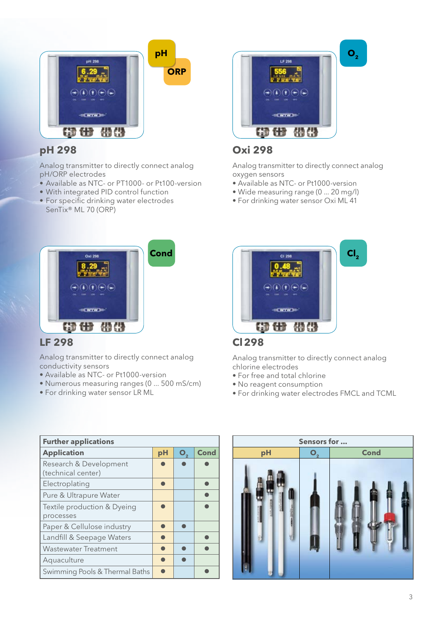

#### **pH 298**

Analog transmitter to directly connect analog pH/ORP electrodes

- Available as NTC- or PT1000- or Pt100-version
- With integrated PID control function
- For specific drinking water electrodes SenTix® ML 70 (ORP)



#### **LF 298**

Analog transmitter to directly connect analog conductivity sensors

- Available as NTC- or Pt1000-version
- Numerous measuring ranges (0 ... 500 mS/cm)
- For drinking water sensor LR ML



#### **Oxi 298**

Analog transmitter to directly connect analog oxygen sensors

- Available as NTC- or Pt1000-version
- Wide measuring range (0 ... 20 mg/l)
- For drinking water sensor Oxi ML 41



#### **Cl298**

Analog transmitter to directly connect analog chlorine electrodes

- For free and total chlorine
- No reagent consumption
- For drinking water electrodes FMCL and TCML

| <b>Further applications</b>                  |    |                |             |  |  |
|----------------------------------------------|----|----------------|-------------|--|--|
| <b>Application</b>                           | pH | O <sub>2</sub> | <b>Cond</b> |  |  |
| Research & Development<br>(technical center) |    |                |             |  |  |
| Electroplating                               |    |                |             |  |  |
| Pure & Ultrapure Water                       |    |                |             |  |  |
| Textile production & Dyeing<br>processes     |    |                |             |  |  |
| Paper & Cellulose industry                   |    |                |             |  |  |
| Landfill & Seepage Waters                    |    |                |             |  |  |
| <b>Wastewater Treatment</b>                  |    |                |             |  |  |
| Aquaculture                                  |    |                |             |  |  |
| Swimming Pools & Thermal Baths               |    |                |             |  |  |

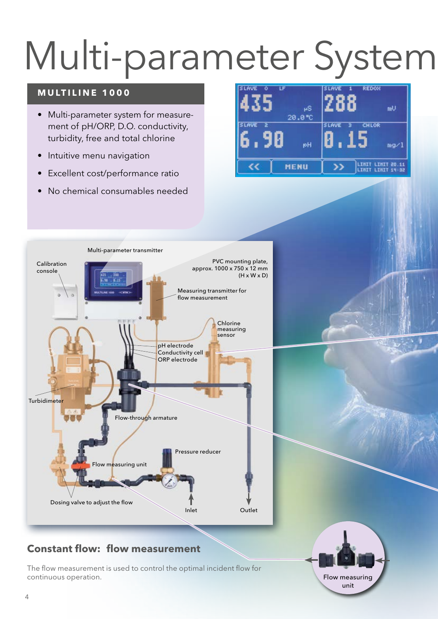# Multi-parameter System

#### **MULTILINE 1000**

- Multi-parameter system for measurement of pH/ORP, D.O. conductivity, turbidity, free and total chlorine
- Intuitive menu navigation
- Excellent cost/performance ratio
- No chemical consumables needed





#### **Constant flow: flow measurement**

The flow measurement is used to control the optimal incident flow for continuous operation.

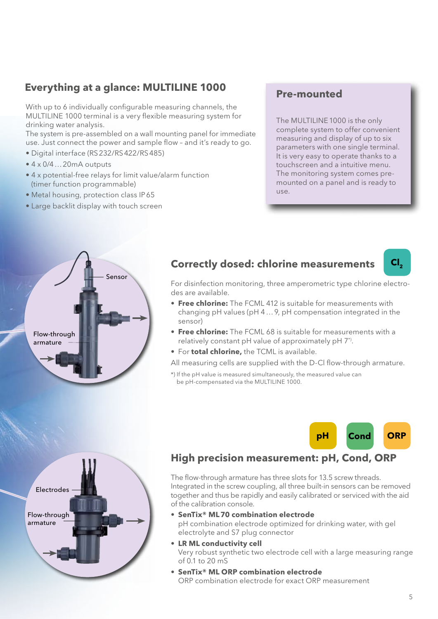#### **Everything at a glance: MULTILINE 1000**

With up to 6 individually configurable measuring channels, the MULTILINE 1000 terminal is a very flexible measuring system for drinking water analysis.

The system is pre-assembled on a wall mounting panel for immediate use. Just connect the power and sample flow – and it's ready to go.

- Digital interface (RS232/RS422/RS485)
- 4 x 0/4…20mA outputs
- 4 x potential-free relays for limit value/alarm function (timer function programmable)
- Metal housing, protection class IP65
- Large backlit display with touch screen

#### **Pre-mounted**

The MULTILINE 1000 is the only complete system to offer convenient measuring and display of up to six parameters with one single terminal. It is very easy to operate thanks to a touchscreen and a intuitive menu. The monitoring system comes premounted on a panel and is ready to use.



Flow-through armature

Electrodes

#### **Correctly dosed: chlorine measurements**



For disinfection monitoring, three amperometric type chlorine electrodes are available.

- **Free chlorine:** The FCML 412 is suitable for measurements with changing pH values (pH 4…9, pH compensation integrated in the sensor)
- **Free chlorine:** The FCML 68 is suitable for measurements with a relatively constant pH value of approximately pH 7\*).
- For **total chlorine,** the TCML is available.
- All measuring cells are supplied with the D-Cl flow-through armature.
- \*) If the pH value is measured simultaneously, the measured value can be pH-compensated via the MULTILINE 1000.



#### **High precision measurement: pH, Cond, ORP**

The flow-through armature has three slots for 13.5 screw threads. Integrated in the screw coupling, all three built-in sensors can be removed together and thus be rapidly and easily calibrated or serviced with the aid of the calibration console.

- • **SenTix® ML70 combination electrode** pH combination electrode optimized for drinking water, with gel electrolyte and S7 plug connector
- **LR ML conductivity cell** Very robust synthetic two electrode cell with a large measuring range of 0.1 to 20 mS
- **SenTix® ML ORP combination electrode** ORP combination electrode for exact ORP measurement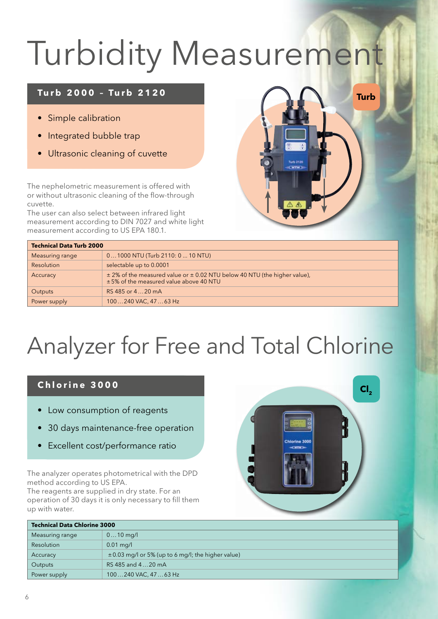## Turbidity Measurement

#### **Turb 2000 – Turb 2120**

- Simple calibration
- Integrated bubble trap
- Ultrasonic cleaning of cuvette

The nephelometric measurement is offered with or without ultrasonic cleaning of the flow-through cuvette.

The user can also select between infrared light measurement according to DIN 7027 and white light measurement according to US EPA 180.1.



| <b>Technical Data Turb 2000</b> |                                                                                                                             |  |  |
|---------------------------------|-----------------------------------------------------------------------------------------------------------------------------|--|--|
| Measuring range                 | $01000$ NTU (Turb 2110: $010$ NTU)                                                                                          |  |  |
| Resolution                      | selectable up to 0.0001                                                                                                     |  |  |
| Accuracy                        | $\pm$ 2% of the measured value or $\pm$ 0.02 NTU below 40 NTU (the higher value),<br>±5% of the measured value above 40 NTU |  |  |
| Outputs                         | RS 485 or 420 mA                                                                                                            |  |  |
| Power supply                    | 100240 VAC, 4763 Hz                                                                                                         |  |  |

### Analyzer for Free and Total Chlorine

#### **Chlorine 3000**

- Low consumption of reagents
- 30 days maintenance-free operation
- Excellent cost/performance ratio

The analyzer operates photometrical with the DPD method according to US EPA.

The reagents are supplied in dry state. For an operation of 30 days it is only necessary to fill them up with water.



| <b>Technical Data Chlorine 3000</b> |                                                        |  |  |
|-------------------------------------|--------------------------------------------------------|--|--|
| Measuring range                     | $010$ mg/l                                             |  |  |
| Resolution                          | $0.01 \,\mathrm{mg/l}$                                 |  |  |
| Accuracy                            | $\pm 0.03$ mg/l or 5% (up to 6 mg/l; the higher value) |  |  |
| Outputs                             | RS 485 and 420 mA                                      |  |  |
| Power supply                        | 100240 VAC, 4763 Hz                                    |  |  |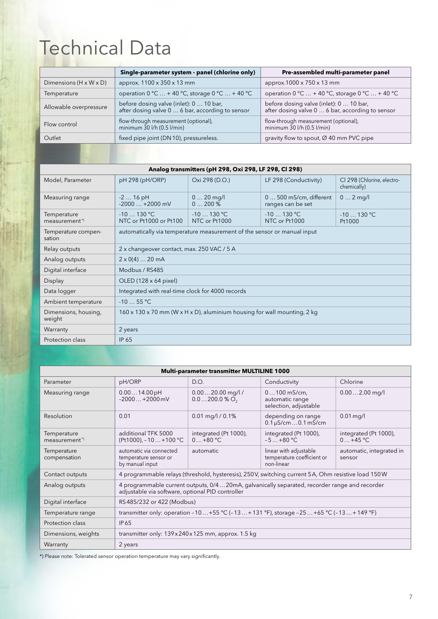### Technical Data

| Single-parameter system - panel (chlorine only)                                             | Pre-assembled multi-parameter panel                                                         |
|---------------------------------------------------------------------------------------------|---------------------------------------------------------------------------------------------|
| approx. 1100 x 350 x 13 mm                                                                  | approx.1000 x 750 x 13 mm                                                                   |
| operation $0^{\circ}$ C  + 40 °C, storage $0^{\circ}$ C  + 40 °C                            | operation $0^{\circ}$ C  + 40 °C, storage $0^{\circ}$ C  + 40 °C                            |
| before dosing valve (inlet): 0  10 bar,<br>after dosing valve 0  6 bar, according to sensor | before dosing valve (inlet): 0  10 bar,<br>after dosing valve 0  6 bar, according to sensor |
| flow-through measurement (optional),<br>minimum $\overline{30}$ I/h (0.5 I/min)             | flow-through measurement (optional),<br>minimum 30 l/h (0.5 l/min)                          |
| fixed pipe joint (DN10), pressureless.                                                      | gravity flow to spout, $\varnothing$ 40 mm PVC pipe                                         |
|                                                                                             |                                                                                             |

| Analog transmitters (pH 298, Oxi 298, LF 298, Cl 298) |                                                                                                    |                              |                                              |                                           |
|-------------------------------------------------------|----------------------------------------------------------------------------------------------------|------------------------------|----------------------------------------------|-------------------------------------------|
| Model, Parameter                                      | pH 298 (pH/ORP)                                                                                    | Oxi 298 (D.O.)               | LF 298 (Conductivity)                        | CI 298 (Chlorine, electro-<br>chemically) |
| Measuring range                                       | $-216$ pH<br>$-2000+2000$ mV                                                                       | $020$ mg/l<br>$0200\%$       | $0500$ mS/cm, different<br>ranges can be set | $0 2$ mg/l                                |
| Temperature<br>measurement <sup>*</sup>               | $-10130 °C$<br>NTC or Pt1000 or Pt100                                                              | $-10130 °C$<br>NTC or Pt1000 | $-10$ 130 °C<br>NTC or Pt1000                | $-10130 °C$<br>Pt1000                     |
| Temperature compen-<br>sation                         | automatically via temperature measurement of the sensor or manual input                            |                              |                                              |                                           |
| Relay outputs                                         | 2 x changeover contact, max. 250 VAC / 5 A                                                         |                              |                                              |                                           |
| Analog outputs                                        | $2 \times 0(4) \dots 20$ mA                                                                        |                              |                                              |                                           |
| Digital interface                                     | Modbus / RS485                                                                                     |                              |                                              |                                           |
| Display                                               | OLED (128 x 64 pixel)                                                                              |                              |                                              |                                           |
| Data logger                                           | Integrated with real-time clock for 4000 records                                                   |                              |                                              |                                           |
| Ambient temperature                                   | $-1055$ °C                                                                                         |                              |                                              |                                           |
| Dimensions, housing,<br>weight                        | $160 \times 130 \times 70$ mm (W $\times$ H $\times$ D), aluminium housing for wall mounting, 2 kg |                              |                                              |                                           |
| Warranty                                              | 2 years                                                                                            |                              |                                              |                                           |
| Protection class                                      | <b>IP 65</b>                                                                                       |                              |                                              |                                           |

| Multi-parameter transmitter MULTILINE 1000                                                                                                                         |                                                                                                    |                                                   |                                                                    |                                    |  |
|--------------------------------------------------------------------------------------------------------------------------------------------------------------------|----------------------------------------------------------------------------------------------------|---------------------------------------------------|--------------------------------------------------------------------|------------------------------------|--|
| Parameter                                                                                                                                                          | pH/ORP                                                                                             | D.O.                                              | Conductivity                                                       | Chlorine                           |  |
| Measuring range                                                                                                                                                    | 0.0014.00pH<br>$-2000+2000$ mV                                                                     | $0.0020.00$ mg/l /<br>$0.0200.0\%$ O <sub>2</sub> | $0100$ mS/cm,<br>automatic range<br>selection, adjustable          | $0.002.00$ mg/l                    |  |
| Resolution                                                                                                                                                         | 0.01                                                                                               | $0.01$ mg/l / $0.1\%$                             | depending on range<br>$0.1 \mu$ S/cm  0.1 mS/cm                    | $0.01$ mg/l                        |  |
| Temperature<br>measurement <sup>*</sup>                                                                                                                            | additional TFK 5000<br>(Pt1000), -10 +100 °C                                                       | integrated (Pt 1000),<br>$0+80 °C$                | integrated (Pt 1000),<br>$-5+80 °C$                                | integrated (Pt 1000),<br>$0+45$ °C |  |
| Temperature<br>compensation                                                                                                                                        | automatic via connected<br>temperature sensor or<br>by manual input                                | automatic                                         | linear with adjustable<br>temperature coefficient or<br>non-linear | automatic, integrated in<br>sensor |  |
| Contact outputs                                                                                                                                                    | 4 programmable relays (threshold, hysteresis), 250V, switching current 5A, Ohm resistive load 150W |                                                   |                                                                    |                                    |  |
| 4 programmable current outputs, 0/420mA, galvanically separated, recorder range and recorder<br>Analog outputs<br>adjustable via software, optional PID controller |                                                                                                    |                                                   |                                                                    |                                    |  |
| Digital interface                                                                                                                                                  | RS485/232 or 422 (Modbus)                                                                          |                                                   |                                                                    |                                    |  |
| transmitter only: operation -10 +55 °C (-13 +131 °F), storage -25 +65 °C (-13 +149 °F)<br>Temperature range                                                        |                                                                                                    |                                                   |                                                                    |                                    |  |
| Protection class                                                                                                                                                   | IP 65                                                                                              |                                                   |                                                                    |                                    |  |
| Dimensions, weights                                                                                                                                                | transmitter only: $139 \times 240 \times 125$ mm, approx. 1.5 kg                                   |                                                   |                                                                    |                                    |  |
| Warranty                                                                                                                                                           | 2 years                                                                                            |                                                   |                                                                    |                                    |  |

\*) Please note: Tolerated sensor operation temperature may vary significantly.